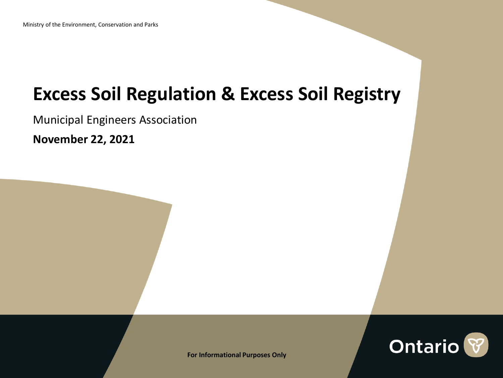## **Excess Soil Regulation & Excess Soil Registry**

Municipal Engineers Association

**November 22, 2021**



**For Informational Purposes Only**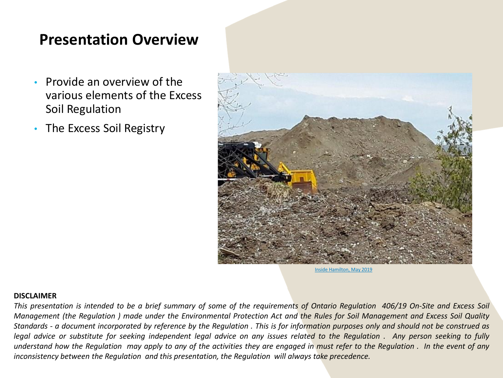#### **Presentation Overview**

- Provide an overview of the various elements of the Excess Soil Regulation
- The Excess Soil Registry



[Inside Hamilton, May 2019](about:blank)

#### **DISCLAIMER**

This presentation is intended to be a brief summary of some of the requirements of Ontario Requlation 406/19 On-Site and Excess Soil Management (the Regulation) made under the Environmental Protection Act and the Rules for Soil Management and Excess Soil Quality Standards - a document incorporated by reference by the Regulation. This is for information purposes only and should not be construed as legal advice or substitute for seeking independent legal advice on any issues related to the Regulation. Any person seeking to fully understand how the Regulation may apply to any of the activities they are engaged in must refer to the Regulation. In the event of any *inconsistency between the Regulation and this presentation, the Regulation will always take precedence.*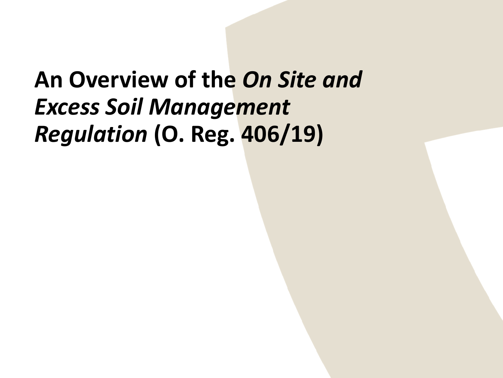# **An Overview of the** *On Site and Excess Soil Management Regulation* **(O. Reg. 406/19)**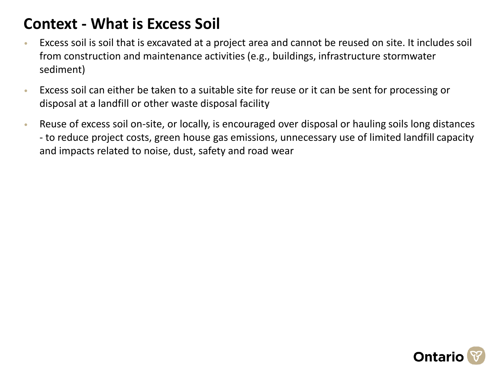### **Context - What is Excess Soil**

- Excess soil is soil that is excavated at a project area and cannot be reused on site. It includes soil from construction and maintenance activities (e.g., buildings, infrastructure stormwater sediment)
- Excess soil can either be taken to a suitable site for reuse or it can be sent for processing or disposal at a landfill or other waste disposal facility
- Reuse of excess soil on-site, or locally, is encouraged over disposal or hauling soils long distances - to reduce project costs, green house gas emissions, unnecessary use of limited landfill capacity and impacts related to noise, dust, safety and road wear

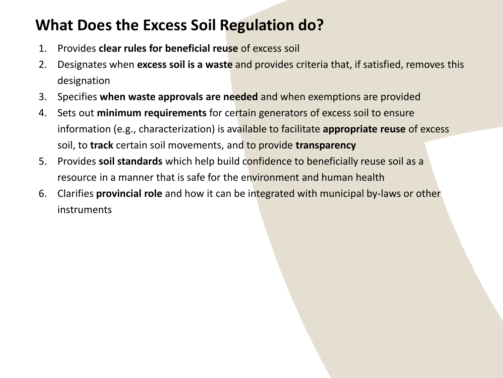### **What Does the Excess Soil Regulation do?**

- 1. Provides **clear rules for beneficial reuse** of excess soil
- 2. Designates when **excess soil is a waste** and provides criteria that, if satisfied, removes this designation
- 3. Specifies **when waste approvals are needed** and when exemptions are provided
- 4. Sets out **minimum requirements** for certain generators of excess soil to ensure information (e.g., characterization) is available to facilitate **appropriate reuse** of excess soil, to **track** certain soil movements, and to provide **transparency**
- 5. Provides **soil standards** which help build confidence to beneficially reuse soil as a resource in a manner that is safe for the environment and human health
- 6. Clarifies **provincial role** and how it can be integrated with municipal by-laws or other instruments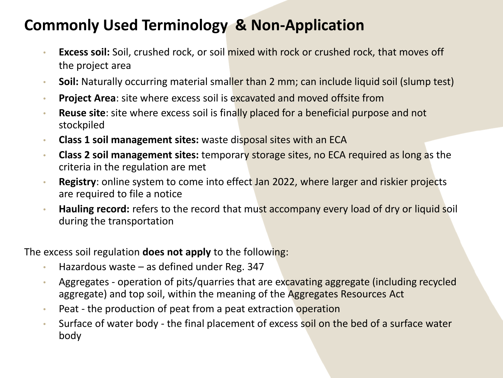### **Commonly Used Terminology & Non-Application**

- **Excess soil:** Soil, crushed rock, or soil mixed with rock or crushed rock, that moves off the project area
- **Soil:** Naturally occurring material smaller than 2 mm; can include liquid soil (slump test)
- **Project Area**: site where excess soil is excavated and moved offsite from
- **Reuse site**: site where excess soil is finally placed for a beneficial purpose and not stockpiled
- **Class 1 soil management sites:** waste disposal sites with an ECA
- **Class 2 soil management sites:** temporary storage sites, no ECA required as long as the criteria in the regulation are met
- **Registry**: online system to come into effect Jan 2022, where larger and riskier projects are required to file a notice
- **Hauling record:** refers to the record that must accompany every load of dry or liquid soil during the transportation

The excess soil regulation **does not apply** to the following:

- Hazardous waste as defined under Reg. 347
- Aggregates operation of pits/quarries that are excavating aggregate (including recycled aggregate) and top soil, within the meaning of the Aggregates Resources Act
- Peat the production of peat from a peat extraction operation
- Surface of water body the final placement of excess soil on the bed of a surface water body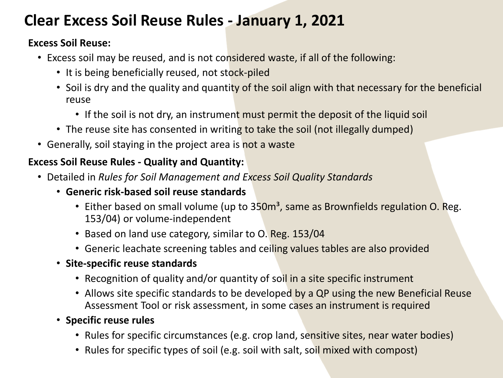### **Clear Excess Soil Reuse Rules - January 1, 2021**

#### **Excess Soil Reuse:**

- Excess soil may be reused, and is not considered waste, if all of the following:
	- It is being beneficially reused, not stock-piled
	- Soil is dry and the quality and quantity of the soil align with that necessary for the beneficial reuse
		- If the soil is not dry, an instrument must permit the deposit of the liquid soil
	- The reuse site has consented in writing to take the soil (not illegally dumped)
- Generally, soil staying in the project area is not a waste

#### **Excess Soil Reuse Rules - Quality and Quantity:**

- Detailed in *Rules for Soil Management and Excess Soil Quality Standards*
	- **Generic risk-based soil reuse standards** 
		- Either based on small volume (up to 350m<sup>3</sup>, same as Brownfields regulation O. Reg. 153/04) or volume-independent
		- Based on land use category, similar to O. Reg. 153/04
		- Generic leachate screening tables and ceiling values tables are also provided
	- **Site-specific reuse standards** 
		- Recognition of quality and/or quantity of soil in a site specific instrument
		- Allows site specific standards to be developed by a QP using the new Beneficial Reuse Assessment Tool or risk assessment, in some cases an instrument is required
	- **Specific reuse rules**
		- Rules for specific circumstances (e.g. crop land, sensitive sites, near water bodies)
		- Rules for specific types of soil (e.g. soil with salt, soil mixed with compost)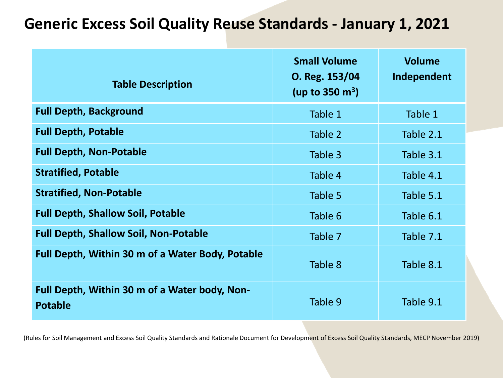#### **Generic Excess Soil Quality Reuse Standards - January 1, 2021**

| <b>Table Description</b>                                        | <b>Small Volume</b><br>O. Reg. 153/04<br>(up to 350 $m^3$ ) | <b>Volume</b><br>Independent |  |  |
|-----------------------------------------------------------------|-------------------------------------------------------------|------------------------------|--|--|
| <b>Full Depth, Background</b>                                   | Table 1                                                     | Table 1                      |  |  |
| <b>Full Depth, Potable</b>                                      | Table 2                                                     | Table 2.1                    |  |  |
| <b>Full Depth, Non-Potable</b>                                  | Table 3                                                     | Table 3.1                    |  |  |
| <b>Stratified, Potable</b>                                      | Table 4                                                     | Table 4.1                    |  |  |
| <b>Stratified, Non-Potable</b>                                  | Table 5                                                     | Table 5.1                    |  |  |
| <b>Full Depth, Shallow Soil, Potable</b>                        | Table 6                                                     | Table 6.1                    |  |  |
| <b>Full Depth, Shallow Soil, Non-Potable</b>                    | Table 7                                                     | Table 7.1                    |  |  |
| Full Depth, Within 30 m of a Water Body, Potable                | Table 8                                                     | Table 8.1                    |  |  |
| Full Depth, Within 30 m of a Water body, Non-<br><b>Potable</b> | Table 9                                                     | Table 9.1                    |  |  |

(Rules for Soil Management and Excess Soil Quality Standards and Rationale Document for Development of Excess Soil Quality Standards, MECP November 2019)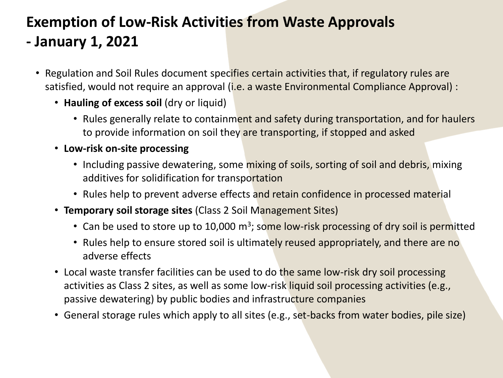### **Exemption of Low-Risk Activities from Waste Approvals - January 1, 2021**

- Regulation and Soil Rules document specifies certain activities that, if regulatory rules are satisfied, would not require an approval (i.e. a waste Environmental Compliance Approval) :
	- **Hauling of excess soil** (dry or liquid)
		- Rules generally relate to containment and safety during transportation, and for haulers to provide information on soil they are transporting, if stopped and asked
	- **Low-risk on-site processing**
		- Including passive dewatering, some mixing of soils, sorting of soil and debris, mixing additives for solidification for transportation
		- Rules help to prevent adverse effects and retain confidence in processed material
	- **Temporary soil storage sites** (Class 2 Soil Management Sites)
		- Can be used to store up to 10,000 m<sup>3</sup>; some low-risk processing of dry soil is permitted
		- Rules help to ensure stored soil is ultimately reused appropriately, and there are no adverse effects
	- Local waste transfer facilities can be used to do the same low-risk dry soil processing activities as Class 2 sites, as well as some low-risk liquid soil processing activities (e.g., passive dewatering) by public bodies and infrastructure companies
	- General storage rules which apply to all sites (e.g., set-backs from water bodies, pile size)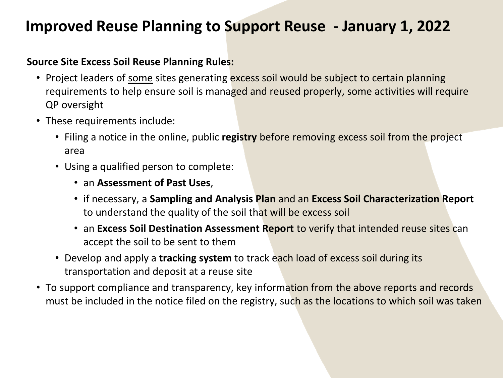#### **Improved Reuse Planning to Support Reuse - January 1, 2022**

#### **Source Site Excess Soil Reuse Planning Rules:**

- Project leaders of some sites generating excess soil would be subject to certain planning requirements to help ensure soil is managed and reused properly, some activities will require QP oversight
- These requirements include:
	- Filing a notice in the online, public **registry** before removing excess soil from the project area
	- Using a qualified person to complete:
		- an **Assessment of Past Uses**,
		- if necessary, a **Sampling and Analysis Plan** and an **Excess Soil Characterization Report**  to understand the quality of the soil that will be excess soil
		- an **Excess Soil Destination Assessment Report** to verify that intended reuse sites can accept the soil to be sent to them
	- Develop and apply a **tracking system** to track each load of excess soil during its transportation and deposit at a reuse site
- To support compliance and transparency, key information from the above reports and records must be included in the notice filed on the registry, such as the locations to which soil was taken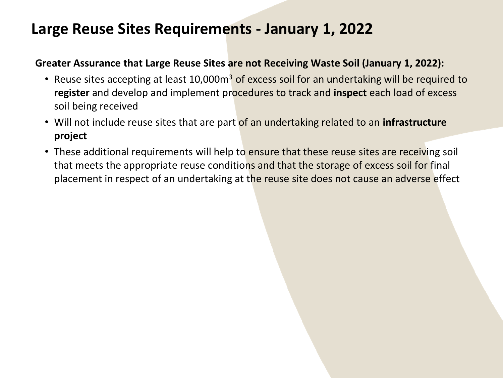#### **Large Reuse Sites Requirements - January 1, 2022**

#### **Greater Assurance that Large Reuse Sites are not Receiving Waste Soil (January 1, 2022):**

- Reuse sites accepting at least 10,000m<sup>3</sup> of excess soil for an undertaking will be required to **register** and develop and implement procedures to track and **inspect** each load of excess soil being received
- Will not include reuse sites that are part of an undertaking related to an **infrastructure project**
- These additional requirements will help to ensure that these reuse sites are receiving soil that meets the appropriate reuse conditions and that the storage of excess soil for final placement in respect of an undertaking at the reuse site does not cause an adverse effect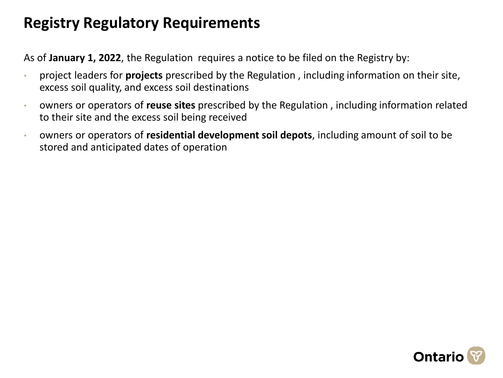### **Registry Regulatory Requirements**

As of **January 1, 2022**, the Regulation requires a notice to be filed on the Registry by:

- project leaders for **projects** prescribed by the Regulation , including information on their site, excess soil quality, and excess soil destinations
- owners or operators of **reuse sites** prescribed by the Regulation , including information related to their site and the excess soil being received
- owners or operators of **residential development soil depots**, including amount of soil to be stored and anticipated dates of operation

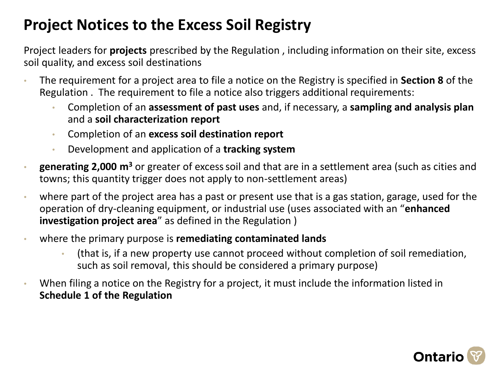### **Project Notices to the Excess Soil Registry**

Project leaders for **projects** prescribed by the Regulation , including information on their site, excess soil quality, and excess soil destinations

- The requirement for a project area to file a notice on the Registry is specified in **Section 8** of the Regulation . The requirement to file a notice also triggers additional requirements:
	- Completion of an **assessment of past uses** and, if necessary, a **sampling and analysis plan** and a **soil characterization report**
	- Completion of an **excess soil destination report**
	- Development and application of a **tracking system**
- **generating 2,000 m<sup>3</sup>** or greater of excesssoil and that are in a settlement area (such as cities and towns; this quantity trigger does not apply to non-settlement areas)
- where part of the project area has a past or present use that is a gas station, garage, used for the operation of dry-cleaning equipment, or industrial use (uses associated with an "**enhanced investigation project area**" as defined in the Regulation )
- where the primary purpose is **remediating contaminated lands** 
	- (that is, if a new property use cannot proceed without completion of soil remediation, such as soil removal, this should be considered a primary purpose)
- When filing a notice on the Registry for a project, it must include the information listed in **Schedule 1 of the Regulation**

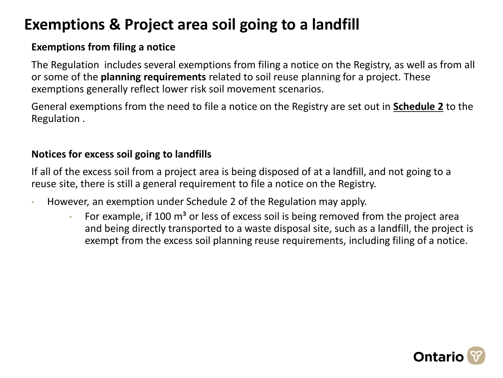### **Exemptions & Project area soil going to a landfill**

#### **Exemptions from filing a notice**

The Regulation includes several exemptions from filing a notice on the Registry, as well as from all or some of the **planning requirements** related to soil reuse planning for a project. These exemptions generally reflect lower risk soil movement scenarios.

General exemptions from the need to file a notice on the Registry are set out in **[Schedule 2](https://www.ontario.ca/laws/regulation/190406#BK39)** to the Regulation .

#### **Notices for excess soil going to landfills**

If all of the excess soil from a project area is being disposed of at a landfill, and not going to a reuse site, there is still a general requirement to file a notice on the Registry.

- However, an exemption under Schedule 2 of the Regulation may apply.
	- For example, if 100  $m<sup>3</sup>$  or less of excess soil is being removed from the project area and being directly transported to a waste disposal site, such as a landfill, the project is exempt from the excess soil planning reuse requirements, including filing of a notice.

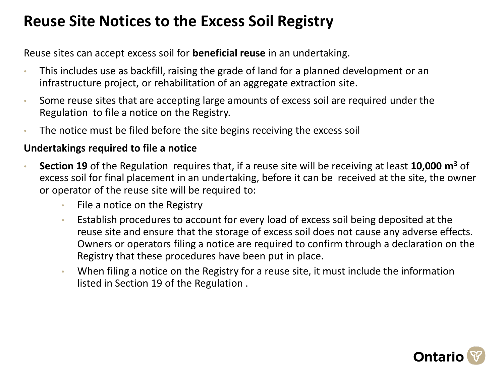### **Reuse Site Notices to the Excess Soil Registry**

Reuse sites can accept excess soil for **beneficial reuse** in an undertaking.

- This includes use as backfill, raising the grade of land for a planned development or an infrastructure project, or rehabilitation of an aggregate extraction site.
- Some reuse sites that are accepting large amounts of excess soil are required under the Regulation to file a notice on the Registry.
- The notice must be filed before the site begins receiving the excess soil

#### **Undertakings required to file a notice**

- **Section 19** of the Regulation requires that, if a reuse site will be receiving at least **10,000 m<sup>3</sup>** of excess soil for final placement in an undertaking, before it can be received at the site, the owner or operator of the reuse site will be required to:
	- File a notice on the Registry
	- Establish procedures to account for every load of excess soil being deposited at the reuse site and ensure that the storage of excess soil does not cause any adverse effects. Owners or operators filing a notice are required to confirm through a declaration on the Registry that these procedures have been put in place.
	- When filing a notice on the Registry for a reuse site, it must include the information listed in Section 19 of the Regulation .

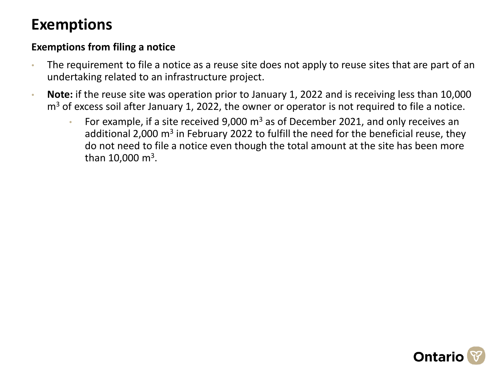### **Exemptions**

#### **Exemptions from filing a notice**

- The requirement to file a notice as a reuse site does not apply to reuse sites that are part of an undertaking related to an infrastructure project.
- **Note:** if the reuse site was operation prior to January 1, 2022 and is receiving less than 10,000  $m<sup>3</sup>$  of excess soil after January 1, 2022, the owner or operator is not required to file a notice.
	- For example, if a site received 9,000  $m<sup>3</sup>$  as of December 2021, and only receives an additional 2,000 m<sup>3</sup> in February 2022 to fulfill the need for the beneficial reuse, they do not need to file a notice even though the total amount at the site has been more than  $10,000 \text{ m}^3$ .

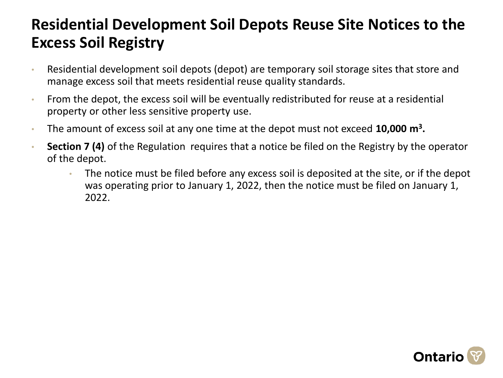### **Residential Development Soil Depots Reuse Site Notices to the Excess Soil Registry**

- Residential development soil depots (depot) are temporary soil storage sites that store and manage excess soil that meets residential reuse quality standards.
- From the depot, the excess soil will be eventually redistributed for reuse at a residential property or other less sensitive property use.
- The amount of excess soil at any one time at the depot must not exceed **10,000 m<sup>3</sup> .**
- **Section 7 (4)** of the Regulation requires that a notice be filed on the Registry by the operator of the depot.
	- The notice must be filed before any excess soil is deposited at the site, or if the depot was operating prior to January 1, 2022, then the notice must be filed on January 1, 2022.

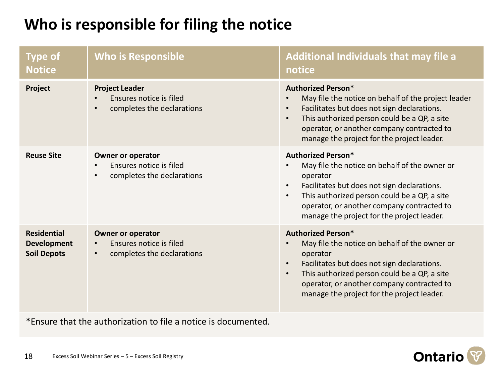### **Who is responsible for filing the notice**

| <b>Type of</b><br><b>Notice</b>                                | <b>Who is Responsible</b>                                                                                   | <b>Additional Individuals that may file a</b><br>notice                                                                                                                                                                                                                                                     |
|----------------------------------------------------------------|-------------------------------------------------------------------------------------------------------------|-------------------------------------------------------------------------------------------------------------------------------------------------------------------------------------------------------------------------------------------------------------------------------------------------------------|
| Project                                                        | <b>Project Leader</b><br>Ensures notice is filed<br>completes the declarations<br>$\bullet$                 | <b>Authorized Person*</b><br>May file the notice on behalf of the project leader<br>Facilitates but does not sign declarations.<br>$\bullet$<br>This authorized person could be a QP, a site<br>$\bullet$<br>operator, or another company contracted to<br>manage the project for the project leader.       |
| <b>Reuse Site</b>                                              | <b>Owner or operator</b><br>Ensures notice is filed<br>$\bullet$<br>completes the declarations<br>$\bullet$ | <b>Authorized Person*</b><br>May file the notice on behalf of the owner or<br>operator<br>Facilitates but does not sign declarations.<br>$\bullet$<br>This authorized person could be a QP, a site<br>$\bullet$<br>operator, or another company contracted to<br>manage the project for the project leader. |
| <b>Residential</b><br><b>Development</b><br><b>Soil Depots</b> | <b>Owner or operator</b><br>Ensures notice is filed<br>$\bullet$<br>completes the declarations<br>$\bullet$ | <b>Authorized Person*</b><br>May file the notice on behalf of the owner or<br>operator<br>Facilitates but does not sign declarations.<br>$\bullet$<br>This authorized person could be a QP, a site<br>$\bullet$<br>operator, or another company contracted to<br>manage the project for the project leader. |

\*Ensure that the authorization to file a notice is documented.

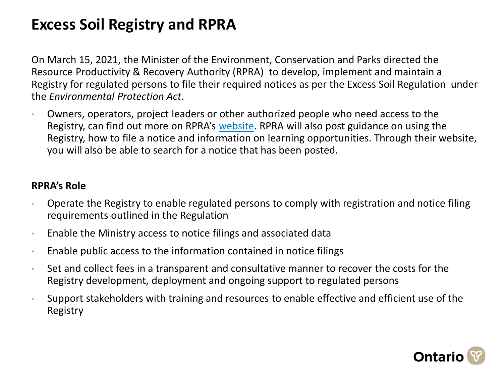### **Excess Soil Registry and RPRA**

On March 15, 2021, the Minister of the Environment, Conservation and Parks directed the Resource Productivity & Recovery Authority (RPRA) to develop, implement and maintain a Registry for regulated persons to file their required notices as per the Excess Soil Regulation under the *Environmental Protection Act*.

• Owners, operators, project leaders or other authorized people who need access to the Registry, can find out more on RPRA's [website.](https://rpra.ca/excess-soil-registry/) RPRA will also post guidance on using the Registry, how to file a notice and information on learning opportunities. Through their website, you will also be able to search for a notice that has been posted.

#### **RPRA's Role**

- Operate the Registry to enable regulated persons to comply with registration and notice filing requirements outlined in the Regulation
- Enable the Ministry access to notice filings and associated data
- Enable public access to the information contained in notice filings
- Set and collect fees in a transparent and consultative manner to recover the costs for the Registry development, deployment and ongoing support to regulated persons
- Support stakeholders with training and resources to enable effective and efficient use of the Registry

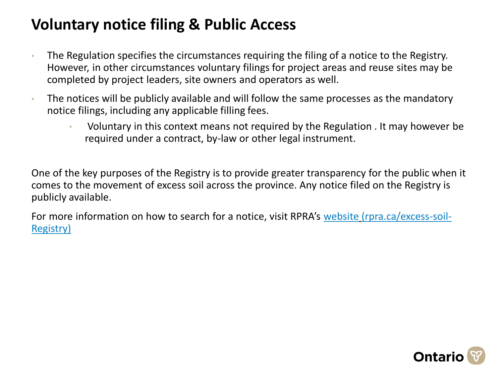### **Voluntary notice filing & Public Access**

- The Regulation specifies the circumstances requiring the filing of a notice to the Registry. However, in other circumstances voluntary filings for project areas and reuse sites may be completed by project leaders, site owners and operators as well.
- The notices will be publicly available and will follow the same processes as the mandatory notice filings, including any applicable filling fees.
	- Voluntary in this context means not required by the Regulation . It may however be required under a contract, by-law or other legal instrument.

One of the key purposes of the Registry is to provide greater transparency for the public when it comes to the movement of excess soil across the province. Any notice filed on the Registry is publicly available.

For more information on how to search for a notice, visit RPRA's [website](https://rpra.ca/excess-soil-registry/) (rpra.ca/excess-soil-Registry)

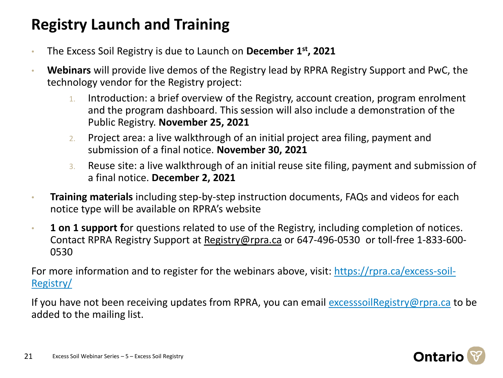### **Registry Launch and Training**

- The Excess Soil Registry is due to Launch on **December 1st, 2021**
- **Webinars** will provide live demos of the Registry lead by RPRA Registry Support and PwC, the technology vendor for the Registry project:
	- 1. Introduction: a brief overview of the Registry, account creation, program enrolment and the program dashboard. This session will also include a demonstration of the Public Registry. **November 25, 2021**
	- 2. Project area: a live walkthrough of an initial project area filing, payment and submission of a final notice. **November 30, 2021**
	- 3. Reuse site: a live walkthrough of an initial reuse site filing, payment and submission of a final notice. **December 2, 2021**
- **Training materials** including step-by-step instruction documents, FAQs and videos for each notice type will be available on RPRA's website
- **1 on 1 support f**or questions related to use of the Registry, including completion of notices. Contact RPRA Registry Support at [Registry@rpra.ca](mailto:registry@rpra.ca) or 647-496-0530 or toll-free 1-833-600- 0530

[For more information and to register for the webinars above, visit: https://rpra.ca/excess-soil-](https://rpra.ca/excess-soil-registry/)Registry/

If you have not been receiving updates from RPRA, you can email [excesssoilRegistry@rpra.ca](mailto:excesssoilregistry@rpra.ca) to be added to the mailing list.

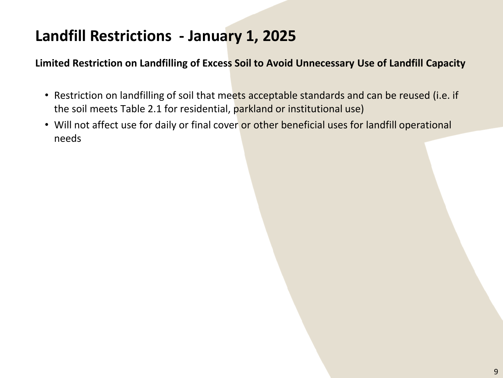### **Landfill Restrictions - January 1, 2025**

**Limited Restriction on Landfilling of Excess Soil to Avoid Unnecessary Use of Landfill Capacity**

- Restriction on landfilling of soil that meets acceptable standards and can be reused (i.e. if the soil meets Table 2.1 for residential, parkland or institutional use)
- Will not affect use for daily or final cover or other beneficial uses for landfill operational needs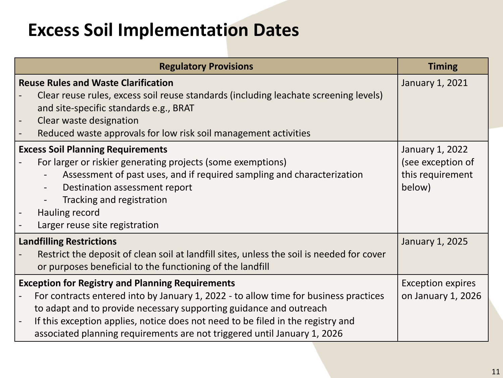## **Excess Soil Implementation Dates**

| <b>Regulatory Provisions</b>                                                                                                                                                                                                                                                                                                                                                         | <b>Timing</b>                                                      |  |
|--------------------------------------------------------------------------------------------------------------------------------------------------------------------------------------------------------------------------------------------------------------------------------------------------------------------------------------------------------------------------------------|--------------------------------------------------------------------|--|
| <b>Reuse Rules and Waste Clarification</b><br>Clear reuse rules, excess soil reuse standards (including leachate screening levels)<br>and site-specific standards e.g., BRAT<br>Clear waste designation<br>Reduced waste approvals for low risk soil management activities                                                                                                           | January 1, 2021                                                    |  |
| <b>Excess Soil Planning Requirements</b><br>For larger or riskier generating projects (some exemptions)<br>Assessment of past uses, and if required sampling and characterization<br>Destination assessment report<br>Tracking and registration<br>Hauling record<br>Larger reuse site registration                                                                                  | January 1, 2022<br>(see exception of<br>this requirement<br>below) |  |
| <b>Landfilling Restrictions</b><br>Restrict the deposit of clean soil at landfill sites, unless the soil is needed for cover<br>or purposes beneficial to the functioning of the landfill                                                                                                                                                                                            | January 1, 2025                                                    |  |
| <b>Exception for Registry and Planning Requirements</b><br>For contracts entered into by January 1, 2022 - to allow time for business practices<br>to adapt and to provide necessary supporting guidance and outreach<br>If this exception applies, notice does not need to be filed in the registry and<br>associated planning requirements are not triggered until January 1, 2026 | <b>Exception expires</b><br>on January 1, 2026                     |  |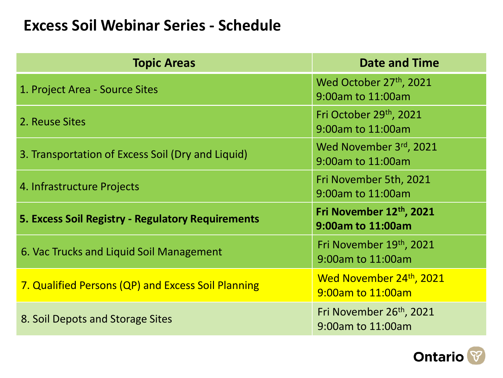#### **Excess Soil Webinar Series - Schedule**

| <b>Topic Areas</b>                                 | <b>Date and Time</b>                                      |  |  |  |  |
|----------------------------------------------------|-----------------------------------------------------------|--|--|--|--|
| 1. Project Area - Source Sites                     | Wed October 27th, 2021<br>9:00am to 11:00am               |  |  |  |  |
| 2. Reuse Sites                                     | Fri October 29th, 2021<br>9:00am to 11:00am               |  |  |  |  |
| 3. Transportation of Excess Soil (Dry and Liquid)  | Wed November 3rd, 2021<br>9:00am to 11:00am               |  |  |  |  |
| 4. Infrastructure Projects                         | Fri November 5th, 2021<br>9:00am to 11:00am               |  |  |  |  |
| 5. Excess Soil Registry - Regulatory Requirements  | Fri November 12th, 2021<br>9:00am to 11:00am              |  |  |  |  |
| 6. Vac Trucks and Liquid Soil Management           | Fri November 19th, 2021<br>9:00am to 11:00am              |  |  |  |  |
| 7. Qualified Persons (QP) and Excess Soil Planning | Wed November 24 <sup>th</sup> , 2021<br>9:00am to 11:00am |  |  |  |  |
| 8. Soil Depots and Storage Sites                   | Fri November 26 <sup>th</sup> , 2021<br>9:00am to 11:00am |  |  |  |  |

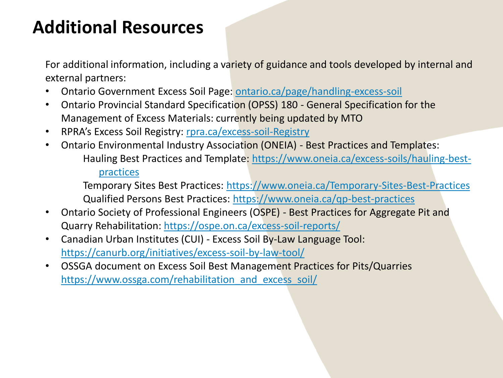## **Additional Resources**

For additional information, including a variety of guidance and tools developed by internal and external partners:

- Ontario Government Excess Soil Page: [ontario.ca/page/handling-excess-soil](http://www.ontario.ca/page/handling-excess-soil)
- Ontario Provincial Standard Specification (OPSS) 180 General Specification for the Management of Excess Materials: currently being updated by MTO
- RPRA's Excess Soil Registry: [rpra.ca/excess-soil-Registry](https://rpra.ca/excess-soil-registry)
- Ontario Environmental Industry Association (ONEIA) Best Practices and Templates: Ha[uling Best Practices and Template: https://www.oneia.ca/excess-soils/hauling-best](https://www.oneia.ca/excess-soils/hauling-best-practices)practices

Temporary Sites Best Practices: <https://www.oneia.ca/Temporary-Sites-Best-Practices> Qualified Persons Best Practices: <https://www.oneia.ca/qp-best-practices>

- Ontario Society of Professional Engineers (OSPE) Best Practices for Aggregate Pit and Quarry Rehabilitation: <https://ospe.on.ca/excess-soil-reports/>
- Canadian Urban Institutes (CUI) Excess Soil By-Law Language Tool: <https://canurb.org/initiatives/excess-soil-by-law-tool/>
- OSSGA document on Excess Soil Best Management Practices for Pits/Quarries [https://www.ossga.com/rehabilitation\\_and\\_excess\\_soil/](https://www.ossga.com/rehabilitation_and_excess_soil/)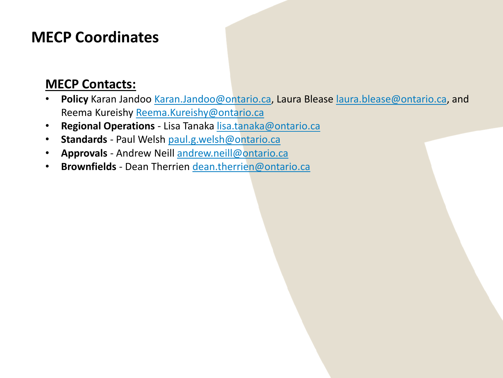#### **MECP Coordinates**

#### **MECP Contacts:**

- **Policy** Karan Jandoo [Karan.Jandoo@ontario.ca](mailto:Karan.Jandoo@ontario.ca), Laura Blease [laura.blease@ontario.ca,](mailto:laura.blease@ontario.ca) and Reema Kureishy [Reema.Kureishy@ontario.ca](mailto:Reema.Kureishy@ontario.ca)
- **Regional Operations**  Lisa Tanaka [lisa.tanaka@ontario.ca](mailto:lisa.tanaka@ontario.ca)
- **Standards**  Paul Welsh [paul.g.welsh@ontario.ca](mailto:paul.g.welsh@ontario.ca)
- **Approvals**  Andrew Neill [andrew.neill@ontario.ca](mailto:andrew.neill@ontario.ca)
- **Brownfields**  Dean Therrien [dean.therrien@ontario.ca](mailto:dean.therrien@ontario.ca)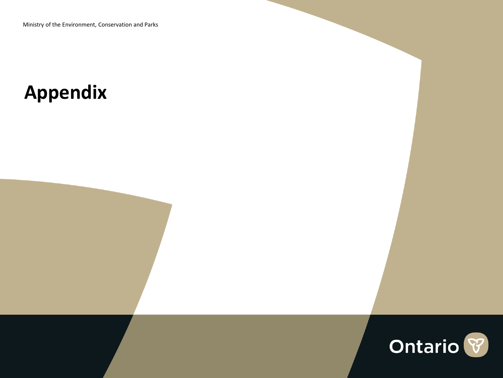## **Appendix**

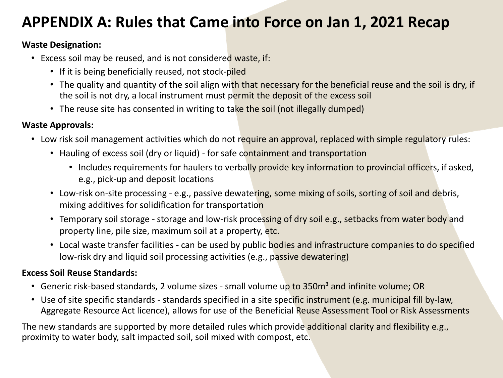### **APPENDIX A: Rules that Came into Force on Jan 1, 2021 Recap**

#### **Waste Designation:**

- Excess soil may be reused, and is not considered waste, if:
	- If it is being beneficially reused, not stock-piled
	- The quality and quantity of the soil align with that necessary for the beneficial reuse and the soil is dry, if the soil is not dry, a local instrument must permit the deposit of the excess soil
	- The reuse site has consented in writing to take the soil (not illegally dumped)

#### **Waste Approvals:**

- Low risk soil management activities which do not require an approval, replaced with simple regulatory rules:
	- Hauling of excess soil (dry or liquid) for safe containment and transportation
		- Includes requirements for haulers to verbally provide key information to provincial officers, if asked, e.g., pick-up and deposit locations
	- Low-risk on-site processing e.g., passive dewatering, some mixing of soils, sorting of soil and debris, mixing additives for solidification for transportation
	- Temporary soil storage storage and low-risk processing of dry soil e.g., setbacks from water body and property line, pile size, maximum soil at a property, etc.
	- Local waste transfer facilities can be used by public bodies and infrastructure companies to do specified low-risk dry and liquid soil processing activities (e.g., passive dewatering)

#### **Excess Soil Reuse Standards:**

- Generic risk-based standards, 2 volume sizes small volume up to 350m<sup>3</sup> and infinite volume; OR
- Use of site specific standards standards specified in a site specific instrument (e.g. municipal fill by-law, Aggregate Resource Act licence), allows for use of the Beneficial Reuse Assessment Tool or Risk Assessments

The new standards are supported by more detailed rules which provide additional clarity and flexibility e.g., proximity to water body, salt impacted soil, soil mixed with compost, etc.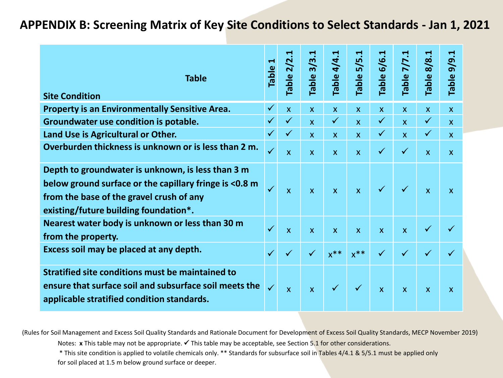#### **APPENDIX B: Screening Matrix of Key Site Conditions to Select Standards - Jan 1, 2021**

| <b>Table</b>                                                                                                                                                                                     | ᆸ<br><b>Table</b> | ⊣<br><b>Table 2/2.</b> | ↽<br>$3/3$ .<br>Table: | Table 4/4.1  | 5/5.<br>Table!          | Table 6/6.                | Table 7/7.              | ᆸ<br>8/8.<br>Table <sup>3</sup> | 9/9.1<br>Table:           |
|--------------------------------------------------------------------------------------------------------------------------------------------------------------------------------------------------|-------------------|------------------------|------------------------|--------------|-------------------------|---------------------------|-------------------------|---------------------------------|---------------------------|
| <b>Site Condition</b>                                                                                                                                                                            |                   |                        |                        |              |                         |                           |                         |                                 |                           |
| <b>Property is an Environmentally Sensitive Area.</b>                                                                                                                                            | $\checkmark$      | $\mathsf{X}$           | $\mathsf{X}$           | $\mathsf{X}$ | $\overline{\mathsf{x}}$ | $\mathsf{x}$              | $\mathsf{x}$            | $\mathsf{X}$                    | $\mathsf{x}$              |
| Groundwater use condition is potable.                                                                                                                                                            | $\checkmark$      | $\checkmark$           | $\mathsf{X}$           | $\checkmark$ | $\overline{\mathsf{x}}$ | $\checkmark$              | $\overline{\mathsf{x}}$ | $\checkmark$                    | $\mathsf{x}$              |
| Land Use is Agricultural or Other.                                                                                                                                                               | $\checkmark$      | $\checkmark$           | $\mathsf{X}$           | $\mathsf{x}$ | $\mathsf{x}$            | $\checkmark$              | $\mathsf{x}$            | $\checkmark$                    | $\mathsf{X}$              |
| Overburden thickness is unknown or is less than 2 m.                                                                                                                                             | $\checkmark$      | $\mathsf{x}$           | $\mathsf{x}$           | $\mathsf{x}$ | $\mathsf{x}$            | $\checkmark$              | $\checkmark$            | $\mathsf{x}$                    | $\mathsf{X}$              |
| Depth to groundwater is unknown, is less than 3 m<br>below ground surface or the capillary fringe is <0.8 m<br>from the base of the gravel crush of any<br>existing/future building foundation*. | $\checkmark$      | $\mathsf{x}$           | $\mathsf{x}$           | $\mathsf{x}$ | $\overline{\mathsf{x}}$ | $\checkmark$              | $\checkmark$            | $\overline{\mathsf{x}}$         | $\mathbf{x}$              |
| Nearest water body is unknown or less than 30 m<br>from the property.                                                                                                                            | $\checkmark$      | $\mathsf{x}$           | $\mathsf{x}$           | $\mathsf{x}$ | $\mathsf{x}$            | $\mathsf{x}$              | $\mathsf{x}$            | $\checkmark$                    |                           |
| Excess soil may be placed at any depth.                                                                                                                                                          | $\checkmark$      | $\checkmark$           | $\checkmark$           | $x^{**}$     | $x^{**}$                | $\checkmark$              | $\checkmark$            | $\checkmark$                    |                           |
| Stratified site conditions must be maintained to<br>ensure that surface soil and subsurface soil meets the<br>applicable stratified condition standards.                                         | $\checkmark$      | $\mathsf{x}$           | $\mathsf{x}$           | $\checkmark$ | $\checkmark$            | $\boldsymbol{\mathsf{X}}$ | $\mathsf{x}$            | $\mathsf{x}$                    | $\boldsymbol{\mathsf{X}}$ |

Notes: x This table may not be appropriate. √ This table may be acceptable, see Section 5.1 for other considerations. (Rules for Soil Management and Excess Soil Quality Standards and Rationale Document for Development of Excess Soil Quality Standards, MECP November 2019)

\* This site condition is applied to volatile chemicals only. \*\* Standards for subsurface soil in Tables 4/4.1 & 5/5.1 must be applied only for soil placed at 1.5 m below ground surface or deeper.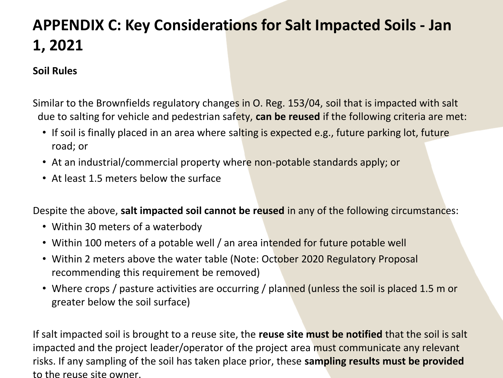### **APPENDIX C: Key Considerations for Salt Impacted Soils - Jan 1, 2021**

#### **Soil Rules**

Similar to the Brownfields regulatory changes in O. Reg. 153/04, soil that is impacted with salt due to salting for vehicle and pedestrian safety, **can be reused** if the following criteria are met:

- If soil is finally placed in an area where salting is expected e.g., future parking lot, future road; or
- At an industrial/commercial property where non-potable standards apply; or
- At least 1.5 meters below the surface

Despite the above, **salt impacted soil cannot be reused** in any of the following circumstances:

- Within 30 meters of a waterbody
- Within 100 meters of a potable well / an area intended for future potable well
- Within 2 meters above the water table (Note: October 2020 Regulatory Proposal recommending this requirement be removed)
- Where crops / pasture activities are occurring / planned (unless the soil is placed 1.5 m or greater below the soil surface)

If salt impacted soil is brought to a reuse site, the **reuse site must be notified** that the soil is salt impacted and the project leader/operator of the project area must communicate any relevant risks. If any sampling of the soil has taken place prior, these **sampling results must be provided**  to the reuse site owner.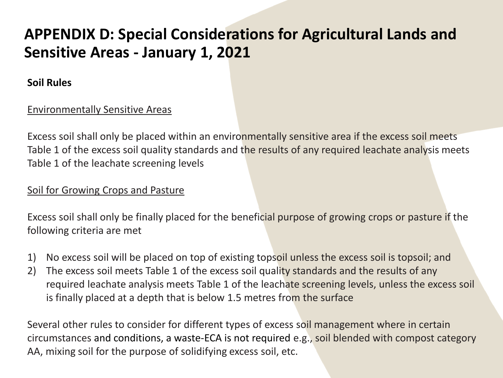### **APPENDIX D: Special Considerations for Agricultural Lands and Sensitive Areas - January 1, 2021**

#### **Soil Rules**

#### Environmentally Sensitive Areas

Excess soil shall only be placed within an environmentally sensitive area if the excess soil meets Table 1 of the excess soil quality standards and the results of any required leachate analysis meets Table 1 of the leachate screening levels

#### Soil for Growing Crops and Pasture

Excess soil shall only be finally placed for the beneficial purpose of growing crops or pasture if the following criteria are met

- 1) No excess soil will be placed on top of existing topsoil unless the excess soil is topsoil; and
- 2) The excess soil meets Table 1 of the excess soil quality standards and the results of any required leachate analysis meets Table 1 of the leachate screening levels, unless the excess soil is finally placed at a depth that is below 1.5 metres from the surface

Several other rules to consider for different types of excess soil management where in certain circumstances and conditions, a waste-ECA is not required e.g., soil blended with compost category AA, mixing soil for the purpose of solidifying excess soil, etc.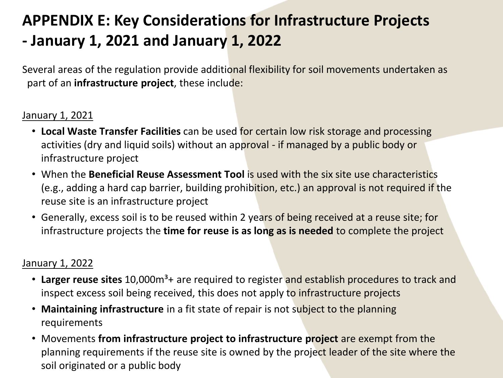### **APPENDIX E: Key Considerations for Infrastructure Projects - January 1, 2021 and January 1, 2022**

Several areas of the regulation provide additional flexibility for soil movements undertaken as part of an **infrastructure project**, these include:

#### January 1, 2021

- **Local Waste Transfer Facilities** can be used for certain low risk storage and processing activities (dry and liquid soils) without an approval - if managed by a public body or infrastructure project
- When the **Beneficial Reuse Assessment Tool** is used with the six site use characteristics (e.g., adding a hard cap barrier, building prohibition, etc.) an approval is not required if the reuse site is an infrastructure project
- Generally, excess soil is to be reused within 2 years of being received at a reuse site; for infrastructure projects the **time for reuse is as long as is needed** to complete the project

#### January 1, 2022

- Larger reuse sites 10,000m<sup>3</sup>+ are required to register and establish procedures to track and inspect excess soil being received, this does not apply to infrastructure projects
- **Maintaining infrastructure** in a fit state of repair is not subject to the planning requirements
- Movements **from infrastructure project to infrastructure project** are exempt from the planning requirements if the reuse site is owned by the project leader of the site where the soil originated or a public body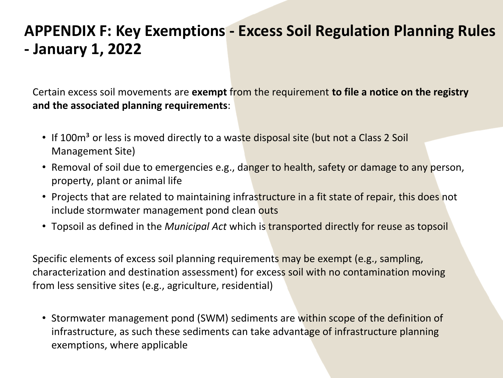### **APPENDIX F: Key Exemptions - Excess Soil Regulation Planning Rules - January 1, 2022**

Certain excess soil movements are **exempt** from the requirement **to file a notice on the registry and the associated planning requirements**:

- If 100m<sup>3</sup> or less is moved directly to a waste disposal site (but not a Class 2 Soil Management Site)
- Removal of soil due to emergencies e.g., danger to health, safety or damage to any person, property, plant or animal life
- Projects that are related to maintaining infrastructure in a fit state of repair, this does not include stormwater management pond clean outs
- Topsoil as defined in the *Municipal Act* which is transported directly for reuse as topsoil

Specific elements of excess soil planning requirements may be exempt (e.g., sampling, characterization and destination assessment) for excess soil with no contamination moving from less sensitive sites (e.g., agriculture, residential)

• Stormwater management pond (SWM) sediments are within scope of the definition of infrastructure, as such these sediments can take advantage of infrastructure planning exemptions, where applicable